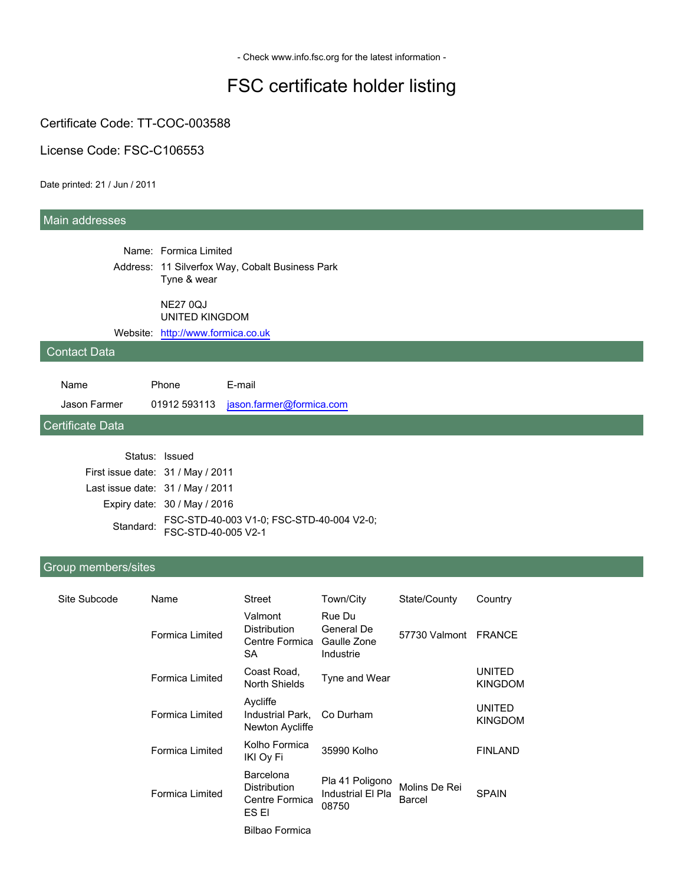- Check www.info.fsc.org for the latest information -

# FSC certificate holder listing

Certificate Code: TT-COC-003588

License Code: FSC-C106553

Date printed: 21 / Jun / 2011

#### Main addresses

Name: Formica Limited Address: 11 Silverfox Way, Cobalt Business Park Tyne & wear

NE27 0QJ

UNITED KINGDOM

Website: <http://www.formica.co.uk>

#### Contact Data

| Name         | Phone | F-mail                                |
|--------------|-------|---------------------------------------|
| Jason Farmer |       | 01912 593113 jason.farmer@formica.com |

Certificate Data

| Status: Issued                    |                                                                            |
|-----------------------------------|----------------------------------------------------------------------------|
| First issue date: 31 / May / 2011 |                                                                            |
| Last issue date: 31 / May / 2011  |                                                                            |
|                                   | Expiry date: 30 / May / 2016                                               |
|                                   | Standard: FSC-STD-40-003 V1-0; FSC-STD-40-004 V2-0;<br>FSC-STD-40-005 V2-1 |

#### Group members/sites

| Site Subcode | Name                   | Street                                                      | Town/City                                        | State/County            | Country                         |
|--------------|------------------------|-------------------------------------------------------------|--------------------------------------------------|-------------------------|---------------------------------|
|              | Formica Limited        | Valmont<br><b>Distribution</b><br>Centre Formica<br>SA      | Rue Du<br>General De<br>Gaulle Zone<br>Industrie | 57730 Valmont           | <b>FRANCE</b>                   |
|              | <b>Formica Limited</b> | Coast Road,<br>North Shields                                | Tyne and Wear                                    |                         | <b>UNITED</b><br><b>KINGDOM</b> |
|              | Formica Limited        | Aycliffe<br>Industrial Park.<br>Newton Aycliffe             | Co Durham                                        |                         | <b>UNITED</b><br><b>KINGDOM</b> |
|              | <b>Formica Limited</b> | Kolho Formica<br><b>IKI Ov Fi</b>                           | 35990 Kolho                                      |                         | <b>FINLAND</b>                  |
|              | Formica Limited        | Barcelona<br><b>Distribution</b><br>Centre Formica<br>ES EI | Pla 41 Poligono<br>Industrial El Pla<br>08750    | Molins De Rei<br>Barcel | <b>SPAIN</b>                    |
|              |                        | <b>Bilbao Formica</b>                                       |                                                  |                         |                                 |